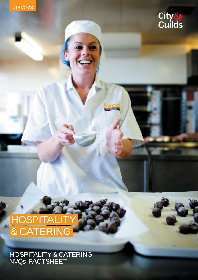



## **HOSPITALITY** & CATERING

HOSPITALITY & CATERING NVQs FACTSHEET